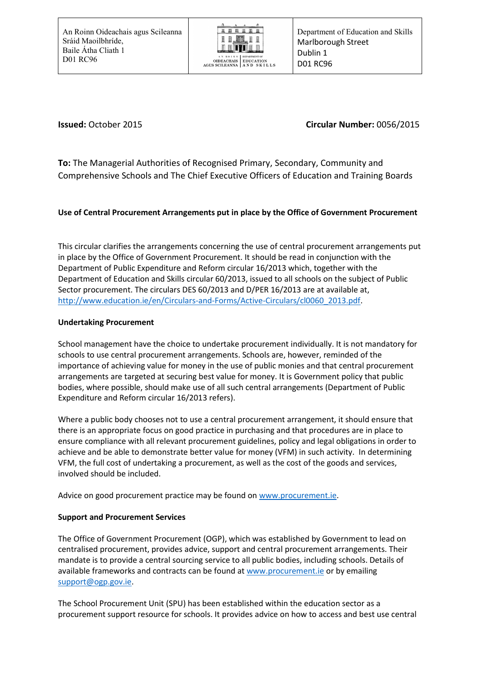

# **Issued:** October 2015 **Circular Number:** 0056/2015

**To:** The Managerial Authorities of Recognised Primary, Secondary, Community and Comprehensive Schools and The Chief Executive Officers of Education and Training Boards

# **Use of Central Procurement Arrangements put in place by the Office of Government Procurement**

This circular clarifies the arrangements concerning the use of central procurement arrangements put in place by the Office of Government Procurement. It should be read in conjunction with the Department of Public Expenditure and Reform circular 16/2013 which, together with the Department of Education and Skills circular 60/2013, issued to all schools on the subject of Public Sector procurement. The circulars DES 60/2013 and D/PER 16/2013 are at available at, [http://www.education.ie/en/Circulars-and-Forms/Active-Circulars/cl0060\\_2013.pdf.](http://www.education.ie/en/Circulars-and-Forms/Active-Circulars/cl0060_2013.pdf)

## **Undertaking Procurement**

School management have the choice to undertake procurement individually. It is not mandatory for schools to use central procurement arrangements. Schools are, however, reminded of the importance of achieving value for money in the use of public monies and that central procurement arrangements are targeted at securing best value for money. It is Government policy that public bodies, where possible, should make use of all such central arrangements (Department of Public Expenditure and Reform circular 16/2013 refers).

Where a public body chooses not to use a central procurement arrangement, it should ensure that there is an appropriate focus on good practice in purchasing and that procedures are in place to ensure compliance with all relevant procurement guidelines, policy and legal obligations in order to achieve and be able to demonstrate better value for money (VFM) in such activity. In determining VFM, the full cost of undertaking a procurement, as well as the cost of the goods and services, involved should be included.

Advice on good procurement practice may be found on [www.procurement.ie.](http://www.procurement.ie/)

## **Support and Procurement Services**

The Office of Government Procurement (OGP), which was established by Government to lead on centralised procurement, provides advice, support and central procurement arrangements. Their mandate is to provide a central sourcing service to all public bodies, including schools. Details of available frameworks and contracts can be found at [www.procurement.ie](http://www.procurement.ie/) or by emailing [support@ogp.gov.ie.](mailto:support@ogp.gov.ie)

The School Procurement Unit (SPU) has been established within the education sector as a procurement support resource for schools. It provides advice on how to access and best use central